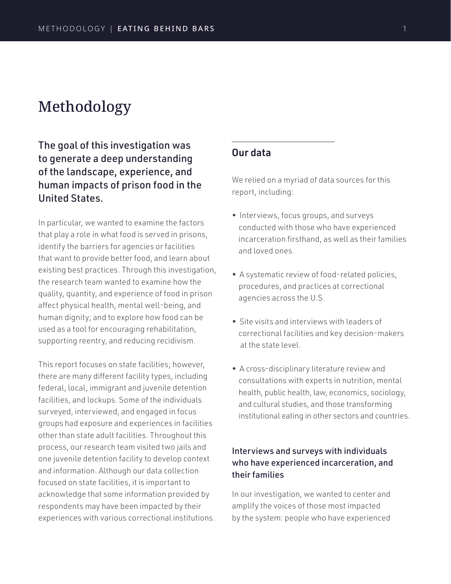# Methodology

# The goal of this investigation was to generate a deep understanding of the landscape, experience, and human impacts of prison food in the United States.

In particular, we wanted to examine the factors that play a role in what food is served in prisons, identify the barriers for agencies or facilities that want to provide better food, and learn about existing best practices. Through this investigation, the research team wanted to examine how the quality, quantity, and experience of food in prison affect physical health, mental well-being, and human dignity; and to explore how food can be used as a tool for encouraging rehabilitation, supporting reentry, and reducing recidivism.

This report focuses on state facilities; however, there are many different facility types, including federal, local, immigrant and juvenile detention facilities, and lockups. Some of the individuals surveyed, interviewed, and engaged in focus groups had exposure and experiences in facilities other than state adult facilities. Throughout this process, our research team visited two jails and one juvenile detention facility to develop context and information. Although our data collection focused on state facilities, it is important to acknowledge that some information provided by respondents may have been impacted by their experiences with various correctional institutions.

# Our data

We relied on a myriad of data sources for this report, including:

- Interviews, focus groups, and surveys conducted with those who have experienced incarceration firsthand, as well as their families and loved ones.
- A systematic review of food-related policies, procedures, and practices at correctional agencies across the U.S.
- Site visits and interviews with leaders of correctional facilities and key decision-makers at the state level.
- A cross-disciplinary literature review and consultations with experts in nutrition, mental health, public health, law, economics, sociology, and cultural studies, and those transforming institutional eating in other sectors and countries.

# Interviews and surveys with individuals who have experienced incarceration, and their families

In our investigation, we wanted to center and amplify the voices of those most impacted by the system: people who have experienced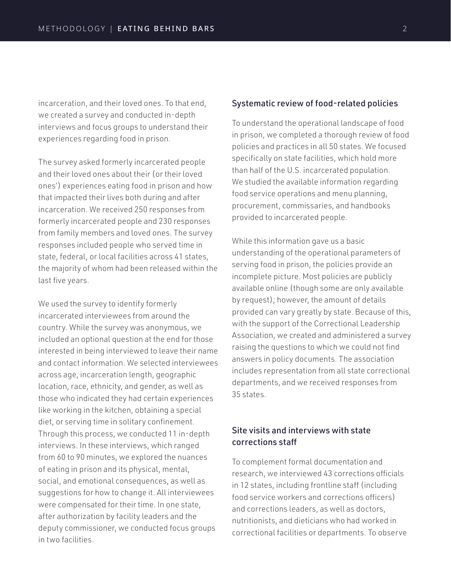incarceration, and their loved ones. To that end, we created a survey and conducted in-depth interviews and focus groups to understand their experiences regarding food in prison.

The survey asked formerly incarcerated people and their loved ones about their (or their loved ones') experiences eating food in prison and how that impacted their lives both during and after incarceration. We received 250 responses from formerly incarcerated people and 230 responses from family members and loved ones. The survey responses included people who served time in state, federal, or local facilities across 41 states, the majority of whom had been released within the last five years.

We used the survey to identify formerly incarcerated interviewees from around the country. While the survey was anonymous, we included an optional question at the end for those interested in being interviewed to leave their name and contact information. We selected interviewees across age, incarceration length, geographic location, race, ethnicity, and gender, as well as those who indicated they had certain experiences like working in the kitchen, obtaining a special diet, or serving time in solitary confinement. Through this process, we conducted 11 in-depth interviews. In these interviews, which ranged from 60 to 90 minutes, we explored the nuances of eating in prison and its physical, mental, social, and emotional consequences, as well as suggestions for how to change it. All interviewees were compensated for their time. In one state, after authorization by facility leaders and the deputy commissioner, we conducted focus groups in two facilities.

#### Systematic review of food-related policies

To understand the operational landscape of food in prison, we completed a thorough review of food policies and practices in all 50 states. We focused specifically on state facilities, which hold more than half of the U.S. incarcerated population. We studied the available information regarding food service operations and menu planning, procurement, commissaries, and handbooks provided to incarcerated people.

While this information gave us a basic understanding of the operational parameters of serving food in prison, the policies provide an incomplete picture. Most policies are publicly available online (though some are only available by request); however, the amount of details provided can vary greatly by state. Because of this, with the support of the Correctional Leadership Association, we created and administered a survey raising the questions to which we could not find answers in policy documents. The association includes representation from all state correctional departments, and we received responses from 35 states.

## Site visits and interviews with state corrections staff

To complement formal documentation and research, we interviewed 43 corrections officials in 12 states, including frontline staff (including food service workers and corrections officers) and corrections leaders, as well as doctors, nutritionists, and dieticians who had worked in correctional facilities or departments. To observe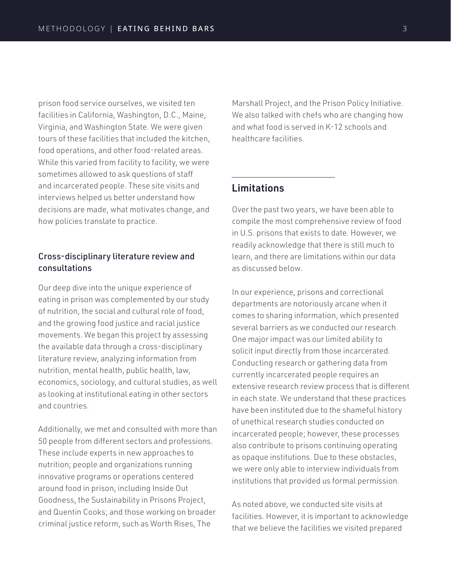prison food service ourselves, we visited ten facilities in California, Washington, D.C., Maine, Virginia, and Washington State. We were given tours of these facilities that included the kitchen, food operations, and other food-related areas. While this varied from facility to facility, we were sometimes allowed to ask questions of staff and incarcerated people. These site visits and interviews helped us better understand how decisions are made, what motivates change, and how policies translate to practice.

### Cross-disciplinary literature review and consultations

Our deep dive into the unique experience of eating in prison was complemented by our study of nutrition, the social and cultural role of food, and the growing food justice and racial justice movements. We began this project by assessing the available data through a cross-disciplinary literature review, analyzing information from nutrition, mental health, public health, law, economics, sociology, and cultural studies, as well as looking at institutional eating in other sectors and countries.

Additionally, we met and consulted with more than 50 people from different sectors and professions. These include experts in new approaches to nutrition; people and organizations running innovative programs or operations centered around food in prison, including Inside Out Goodness, the Sustainability in Prisons Project, and Quentin Cooks; and those working on broader criminal justice reform, such as Worth Rises, The

Marshall Project, and the Prison Policy Initiative. We also talked with chefs who are changing how and what food is served in K-12 schools and healthcare facilities.

# Limitations

Over the past two years, we have been able to compile the most comprehensive review of food in U.S. prisons that exists to date. However, we readily acknowledge that there is still much to learn, and there are limitations within our data as discussed below.

In our experience, prisons and correctional departments are notoriously arcane when it comes to sharing information, which presented several barriers as we conducted our research. One major impact was our limited ability to solicit input directly from those incarcerated. Conducting research or gathering data from currently incarcerated people requires an extensive research review process that is different in each state. We understand that these practices have been instituted due to the shameful history of unethical research studies conducted on incarcerated people; however, these processes also contribute to prisons continuing operating as opaque institutions. Due to these obstacles, we were only able to interview individuals from institutions that provided us formal permission.

As noted above, we conducted site visits at facilities. However, it is important to acknowledge that we believe the facilities we visited prepared